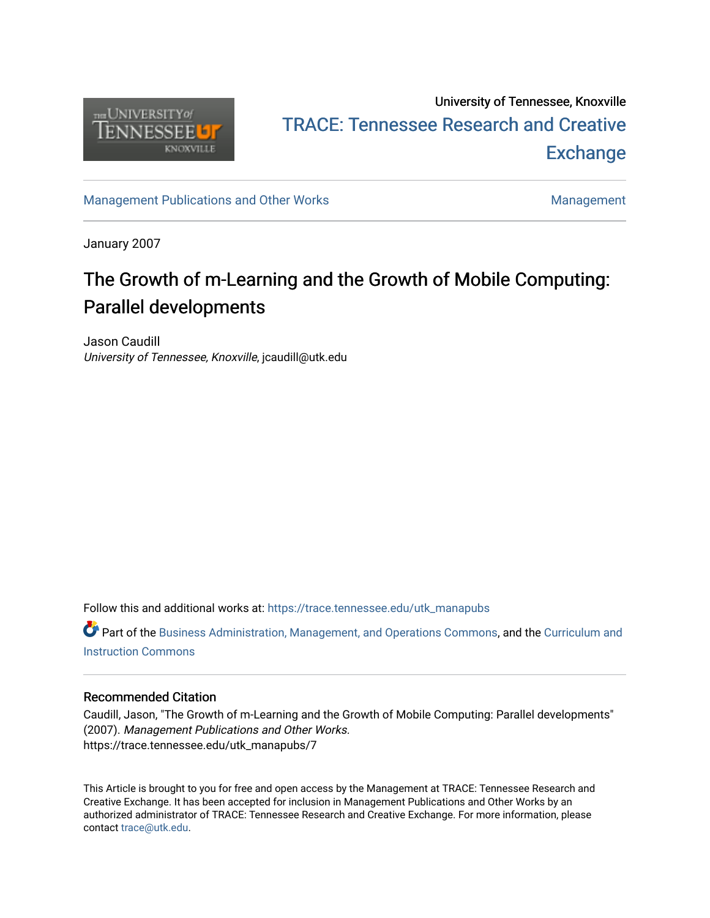

## University of Tennessee, Knoxville TRACE: T[ennessee Research and Cr](https://trace.tennessee.edu/)eative **Exchange**

[Management Publications and Other Works](https://trace.tennessee.edu/utk_manapubs) **Management** Management

January 2007

## The Growth of m-Learning and the Growth of Mobile Computing: Parallel developments

Jason Caudill University of Tennessee, Knoxville, jcaudill@utk.edu

Follow this and additional works at: [https://trace.tennessee.edu/utk\\_manapubs](https://trace.tennessee.edu/utk_manapubs?utm_source=trace.tennessee.edu%2Futk_manapubs%2F7&utm_medium=PDF&utm_campaign=PDFCoverPages) 

Part of the [Business Administration, Management, and Operations Commons](https://network.bepress.com/hgg/discipline/623?utm_source=trace.tennessee.edu%2Futk_manapubs%2F7&utm_medium=PDF&utm_campaign=PDFCoverPages), and the [Curriculum and](https://network.bepress.com/hgg/discipline/786?utm_source=trace.tennessee.edu%2Futk_manapubs%2F7&utm_medium=PDF&utm_campaign=PDFCoverPages) [Instruction Commons](https://network.bepress.com/hgg/discipline/786?utm_source=trace.tennessee.edu%2Futk_manapubs%2F7&utm_medium=PDF&utm_campaign=PDFCoverPages)

### Recommended Citation

Caudill, Jason, "The Growth of m-Learning and the Growth of Mobile Computing: Parallel developments" (2007). Management Publications and Other Works. https://trace.tennessee.edu/utk\_manapubs/7

This Article is brought to you for free and open access by the Management at TRACE: Tennessee Research and Creative Exchange. It has been accepted for inclusion in Management Publications and Other Works by an authorized administrator of TRACE: Tennessee Research and Creative Exchange. For more information, please contact [trace@utk.edu](mailto:trace@utk.edu).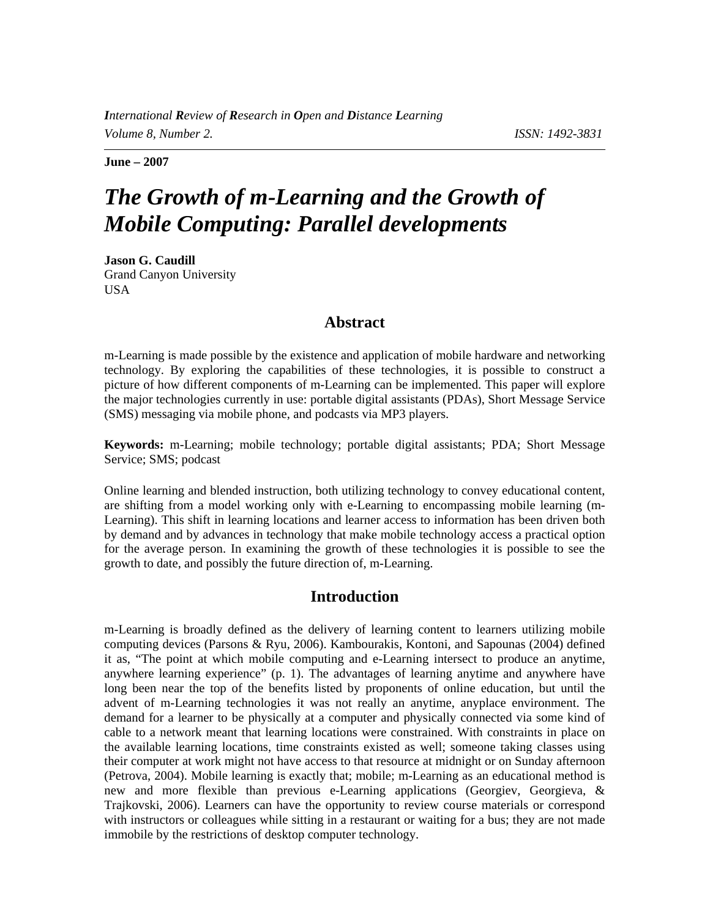**June – 2007** 

# *The Growth of m-Learning and the Growth of Mobile Computing: Parallel developments*

**Jason G. Caudill** Grand Canyon University USA

### **Abstract**

m-Learning is made possible by the existence and application of mobile hardware and networking technology. By exploring the capabilities of these technologies, it is possible to construct a picture of how different components of m-Learning can be implemented. This paper will explore the major technologies currently in use: portable digital assistants (PDAs), Short Message Service (SMS) messaging via mobile phone, and podcasts via MP3 players.

**Keywords:** m-Learning; mobile technology; portable digital assistants; PDA; Short Message Service; SMS; podcast

Online learning and blended instruction, both utilizing technology to convey educational content, are shifting from a model working only with e-Learning to encompassing mobile learning (m-Learning). This shift in learning locations and learner access to information has been driven both by demand and by advances in technology that make mobile technology access a practical option for the average person. In examining the growth of these technologies it is possible to see the growth to date, and possibly the future direction of, m-Learning.

### **Introduction**

m-Learning is broadly defined as the delivery of learning content to learners utilizing mobile computing devices (Parsons & Ryu, 2006). Kambourakis, Kontoni, and Sapounas (2004) defined it as, "The point at which mobile computing and e-Learning intersect to produce an anytime, anywhere learning experience" (p. 1). The advantages of learning anytime and anywhere have long been near the top of the benefits listed by proponents of online education, but until the advent of m-Learning technologies it was not really an anytime, anyplace environment. The demand for a learner to be physically at a computer and physically connected via some kind of cable to a network meant that learning locations were constrained. With constraints in place on the available learning locations, time constraints existed as well; someone taking classes using their computer at work might not have access to that resource at midnight or on Sunday afternoon (Petrova, 2004). Mobile learning is exactly that; mobile; m-Learning as an educational method is new and more flexible than previous e-Learning applications (Georgiev, Georgieva, & Trajkovski, 2006). Learners can have the opportunity to review course materials or correspond with instructors or colleagues while sitting in a restaurant or waiting for a bus; they are not made immobile by the restrictions of desktop computer technology.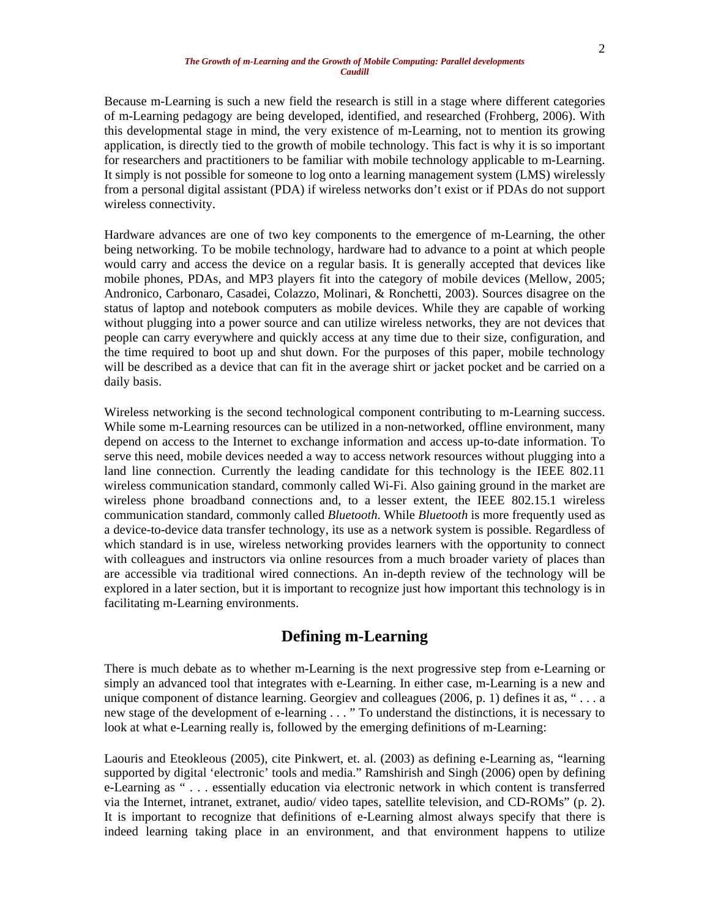Because m-Learning is such a new field the research is still in a stage where different categories of m-Learning pedagogy are being developed, identified, and researched (Frohberg, 2006). With this developmental stage in mind, the very existence of m-Learning, not to mention its growing application, is directly tied to the growth of mobile technology. This fact is why it is so important for researchers and practitioners to be familiar with mobile technology applicable to m-Learning. It simply is not possible for someone to log onto a learning management system (LMS) wirelessly from a personal digital assistant (PDA) if wireless networks don't exist or if PDAs do not support wireless connectivity.

Hardware advances are one of two key components to the emergence of m-Learning, the other being networking. To be mobile technology, hardware had to advance to a point at which people would carry and access the device on a regular basis. It is generally accepted that devices like mobile phones, PDAs, and MP3 players fit into the category of mobile devices (Mellow, 2005; Andronico, Carbonaro, Casadei, Colazzo, Molinari, & Ronchetti, 2003). Sources disagree on the status of laptop and notebook computers as mobile devices. While they are capable of working without plugging into a power source and can utilize wireless networks, they are not devices that people can carry everywhere and quickly access at any time due to their size, configuration, and the time required to boot up and shut down. For the purposes of this paper, mobile technology will be described as a device that can fit in the average shirt or jacket pocket and be carried on a daily basis.

Wireless networking is the second technological component contributing to m-Learning success. While some m-Learning resources can be utilized in a non-networked, offline environment, many depend on access to the Internet to exchange information and access up-to-date information. To serve this need, mobile devices needed a way to access network resources without plugging into a land line connection. Currently the leading candidate for this technology is the IEEE 802.11 wireless communication standard, commonly called Wi-Fi. Also gaining ground in the market are wireless phone broadband connections and, to a lesser extent, the IEEE 802.15.1 wireless communication standard, commonly called *Bluetooth*. While *Bluetooth* is more frequently used as a device-to-device data transfer technology, its use as a network system is possible. Regardless of which standard is in use, wireless networking provides learners with the opportunity to connect with colleagues and instructors via online resources from a much broader variety of places than are accessible via traditional wired connections. An in-depth review of the technology will be explored in a later section, but it is important to recognize just how important this technology is in facilitating m-Learning environments.

### **Defining m-Learning**

There is much debate as to whether m-Learning is the next progressive step from e-Learning or simply an advanced tool that integrates with e-Learning. In either case, m-Learning is a new and unique component of distance learning. Georgiev and colleagues (2006, p. 1) defines it as, " $\dots$  a new stage of the development of e-learning . . . " To understand the distinctions, it is necessary to look at what e-Learning really is, followed by the emerging definitions of m-Learning:

Laouris and Eteokleous (2005), cite Pinkwert, et. al. (2003) as defining e-Learning as, "learning supported by digital 'electronic' tools and media." Ramshirish and Singh (2006) open by defining e-Learning as " . . . essentially education via electronic network in which content is transferred via the Internet, intranet, extranet, audio/ video tapes, satellite television, and CD-ROMs" (p. 2). It is important to recognize that definitions of e-Learning almost always specify that there is indeed learning taking place in an environment, and that environment happens to utilize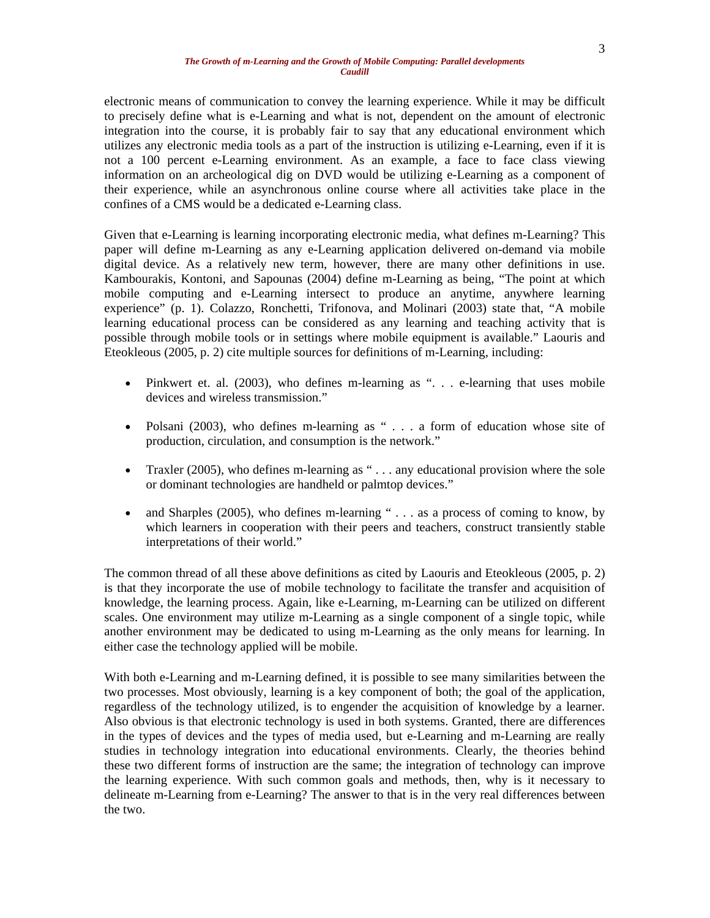electronic means of communication to convey the learning experience. While it may be difficult to precisely define what is e-Learning and what is not, dependent on the amount of electronic integration into the course, it is probably fair to say that any educational environment which utilizes any electronic media tools as a part of the instruction is utilizing e-Learning, even if it is not a 100 percent e-Learning environment. As an example, a face to face class viewing information on an archeological dig on DVD would be utilizing e-Learning as a component of their experience, while an asynchronous online course where all activities take place in the confines of a CMS would be a dedicated e-Learning class.

Given that e-Learning is learning incorporating electronic media, what defines m-Learning? This paper will define m-Learning as any e-Learning application delivered on-demand via mobile digital device. As a relatively new term, however, there are many other definitions in use. Kambourakis, Kontoni, and Sapounas (2004) define m-Learning as being, "The point at which mobile computing and e-Learning intersect to produce an anytime, anywhere learning experience" (p. 1). Colazzo, Ronchetti, Trifonova, and Molinari (2003) state that, "A mobile learning educational process can be considered as any learning and teaching activity that is possible through mobile tools or in settings where mobile equipment is available." Laouris and Eteokleous (2005, p. 2) cite multiple sources for definitions of m-Learning, including:

- Pinkwert et. al. (2003), who defines m-learning as ". . . e-learning that uses mobile devices and wireless transmission."
- Polsani (2003), who defines m-learning as " . . . a form of education whose site of production, circulation, and consumption is the network."
- Traxler (2005), who defines m-learning as "... any educational provision where the sole or dominant technologies are handheld or palmtop devices."
- and Sharples (2005), who defines m-learning " . . . as a process of coming to know, by which learners in cooperation with their peers and teachers, construct transiently stable interpretations of their world."

The common thread of all these above definitions as cited by Laouris and Eteokleous (2005, p. 2) is that they incorporate the use of mobile technology to facilitate the transfer and acquisition of knowledge, the learning process. Again, like e-Learning, m-Learning can be utilized on different scales. One environment may utilize m-Learning as a single component of a single topic, while another environment may be dedicated to using m-Learning as the only means for learning. In either case the technology applied will be mobile.

With both e-Learning and m-Learning defined, it is possible to see many similarities between the two processes. Most obviously, learning is a key component of both; the goal of the application, regardless of the technology utilized, is to engender the acquisition of knowledge by a learner. Also obvious is that electronic technology is used in both systems. Granted, there are differences in the types of devices and the types of media used, but e-Learning and m-Learning are really studies in technology integration into educational environments. Clearly, the theories behind these two different forms of instruction are the same; the integration of technology can improve the learning experience. With such common goals and methods, then, why is it necessary to delineate m-Learning from e-Learning? The answer to that is in the very real differences between the two.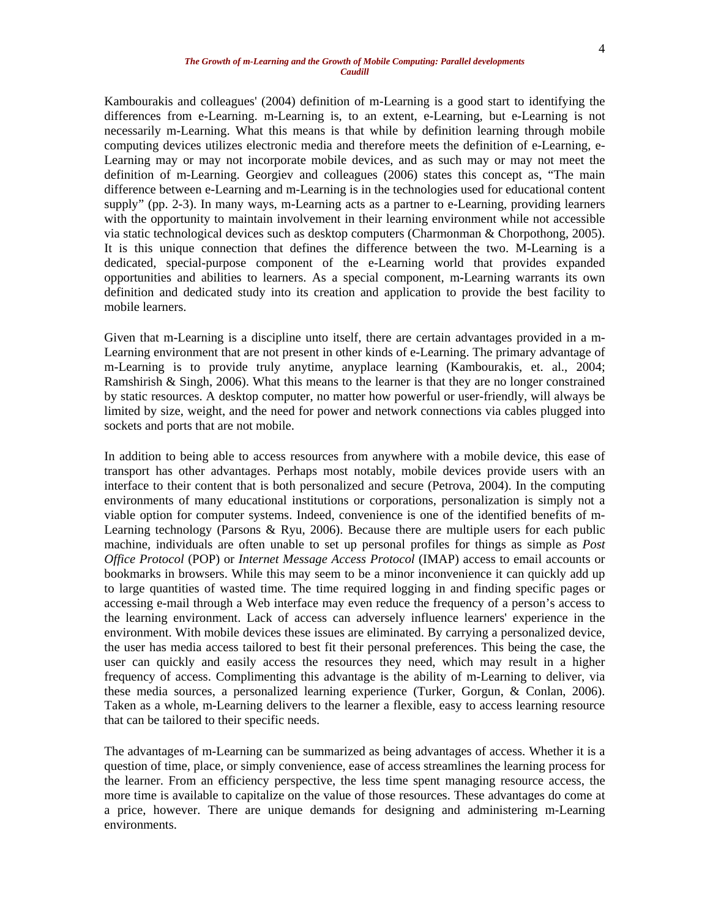Kambourakis and colleagues' (2004) definition of m-Learning is a good start to identifying the differences from e-Learning. m-Learning is, to an extent, e-Learning, but e-Learning is not necessarily m-Learning. What this means is that while by definition learning through mobile computing devices utilizes electronic media and therefore meets the definition of e-Learning, e-Learning may or may not incorporate mobile devices, and as such may or may not meet the definition of m-Learning. Georgiev and colleagues (2006) states this concept as, "The main difference between e-Learning and m-Learning is in the technologies used for educational content supply" (pp. 2-3). In many ways, m-Learning acts as a partner to e-Learning, providing learners with the opportunity to maintain involvement in their learning environment while not accessible via static technological devices such as desktop computers (Charmonman & Chorpothong, 2005). It is this unique connection that defines the difference between the two. M-Learning is a dedicated, special-purpose component of the e-Learning world that provides expanded opportunities and abilities to learners. As a special component, m-Learning warrants its own definition and dedicated study into its creation and application to provide the best facility to mobile learners.

Given that m-Learning is a discipline unto itself, there are certain advantages provided in a m-Learning environment that are not present in other kinds of e-Learning. The primary advantage of m-Learning is to provide truly anytime, anyplace learning (Kambourakis, et. al., 2004; Ramshirish & Singh, 2006). What this means to the learner is that they are no longer constrained by static resources. A desktop computer, no matter how powerful or user-friendly, will always be limited by size, weight, and the need for power and network connections via cables plugged into sockets and ports that are not mobile.

In addition to being able to access resources from anywhere with a mobile device, this ease of transport has other advantages. Perhaps most notably, mobile devices provide users with an interface to their content that is both personalized and secure (Petrova, 2004). In the computing environments of many educational institutions or corporations, personalization is simply not a viable option for computer systems. Indeed, convenience is one of the identified benefits of m-Learning technology (Parsons & Ryu, 2006). Because there are multiple users for each public machine, individuals are often unable to set up personal profiles for things as simple as *Post Office Protocol* (POP) or *Internet Message Access Protocol* (IMAP) access to email accounts or bookmarks in browsers. While this may seem to be a minor inconvenience it can quickly add up to large quantities of wasted time. The time required logging in and finding specific pages or accessing e-mail through a Web interface may even reduce the frequency of a person's access to the learning environment. Lack of access can adversely influence learners' experience in the environment. With mobile devices these issues are eliminated. By carrying a personalized device, the user has media access tailored to best fit their personal preferences. This being the case, the user can quickly and easily access the resources they need, which may result in a higher frequency of access. Complimenting this advantage is the ability of m-Learning to deliver, via these media sources, a personalized learning experience (Turker, Gorgun, & Conlan, 2006). Taken as a whole, m-Learning delivers to the learner a flexible, easy to access learning resource that can be tailored to their specific needs.

The advantages of m-Learning can be summarized as being advantages of access. Whether it is a question of time, place, or simply convenience, ease of access streamlines the learning process for the learner. From an efficiency perspective, the less time spent managing resource access, the more time is available to capitalize on the value of those resources. These advantages do come at a price, however. There are unique demands for designing and administering m-Learning environments.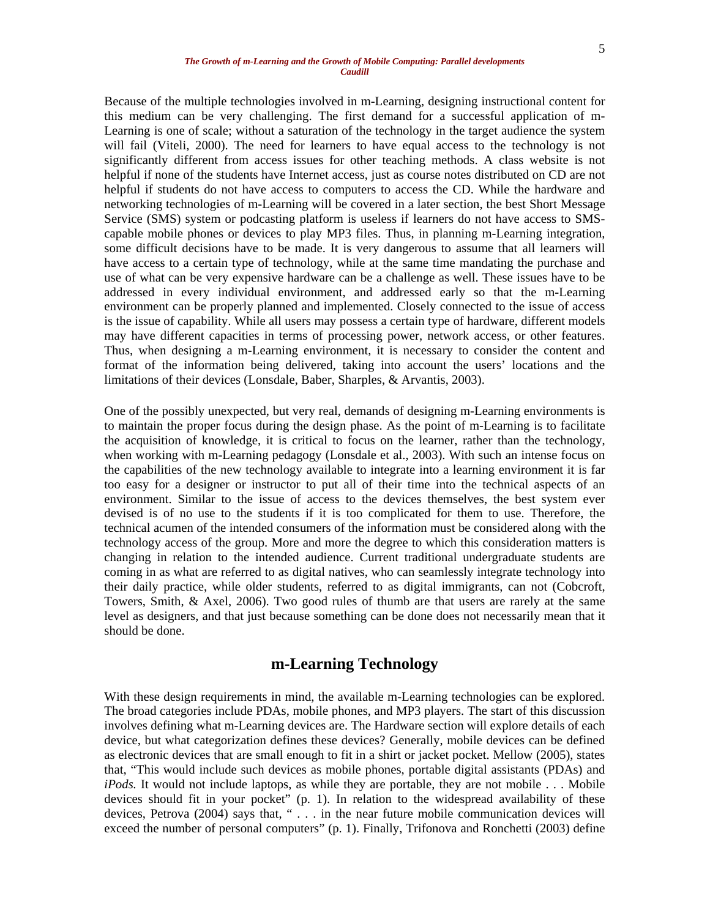Because of the multiple technologies involved in m-Learning, designing instructional content for this medium can be very challenging. The first demand for a successful application of m-Learning is one of scale; without a saturation of the technology in the target audience the system will fail (Viteli, 2000). The need for learners to have equal access to the technology is not significantly different from access issues for other teaching methods. A class website is not helpful if none of the students have Internet access, just as course notes distributed on CD are not helpful if students do not have access to computers to access the CD. While the hardware and networking technologies of m-Learning will be covered in a later section, the best Short Message Service (SMS) system or podcasting platform is useless if learners do not have access to SMScapable mobile phones or devices to play MP3 files. Thus, in planning m-Learning integration, some difficult decisions have to be made. It is very dangerous to assume that all learners will have access to a certain type of technology, while at the same time mandating the purchase and use of what can be very expensive hardware can be a challenge as well. These issues have to be addressed in every individual environment, and addressed early so that the m-Learning environment can be properly planned and implemented. Closely connected to the issue of access is the issue of capability. While all users may possess a certain type of hardware, different models may have different capacities in terms of processing power, network access, or other features. Thus, when designing a m-Learning environment, it is necessary to consider the content and format of the information being delivered, taking into account the users' locations and the limitations of their devices (Lonsdale, Baber, Sharples, & Arvantis, 2003).

One of the possibly unexpected, but very real, demands of designing m-Learning environments is to maintain the proper focus during the design phase. As the point of m-Learning is to facilitate the acquisition of knowledge, it is critical to focus on the learner, rather than the technology, when working with m-Learning pedagogy (Lonsdale et al., 2003). With such an intense focus on the capabilities of the new technology available to integrate into a learning environment it is far too easy for a designer or instructor to put all of their time into the technical aspects of an environment. Similar to the issue of access to the devices themselves, the best system ever devised is of no use to the students if it is too complicated for them to use. Therefore, the technical acumen of the intended consumers of the information must be considered along with the technology access of the group. More and more the degree to which this consideration matters is changing in relation to the intended audience. Current traditional undergraduate students are coming in as what are referred to as digital natives, who can seamlessly integrate technology into their daily practice, while older students, referred to as digital immigrants, can not (Cobcroft, Towers, Smith, & Axel, 2006). Two good rules of thumb are that users are rarely at the same level as designers, and that just because something can be done does not necessarily mean that it should be done.

### **m-Learning Technology**

With these design requirements in mind, the available m-Learning technologies can be explored. The broad categories include PDAs, mobile phones, and MP3 players. The start of this discussion involves defining what m-Learning devices are. The Hardware section will explore details of each device, but what categorization defines these devices? Generally, mobile devices can be defined as electronic devices that are small enough to fit in a shirt or jacket pocket. Mellow (2005), states that, "This would include such devices as mobile phones, portable digital assistants (PDAs) and *iPods.* It would not include laptops, as while they are portable, they are not mobile . . . Mobile devices should fit in your pocket" (p. 1). In relation to the widespread availability of these devices, Petrova (2004) says that, " . . . in the near future mobile communication devices will exceed the number of personal computers" (p. 1). Finally, Trifonova and Ronchetti (2003) define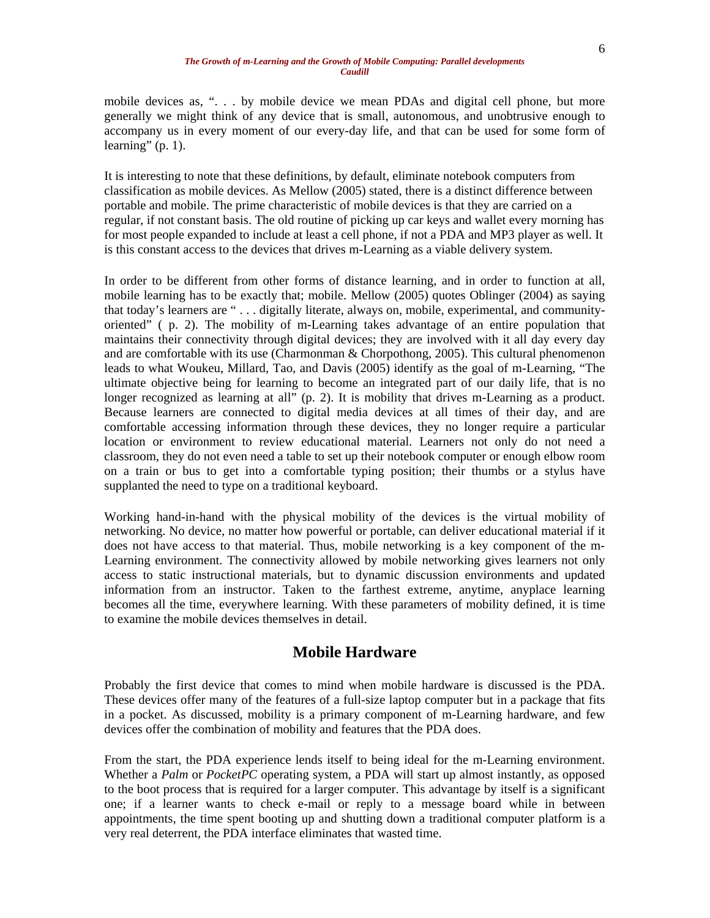mobile devices as, ". . . by mobile device we mean PDAs and digital cell phone, but more generally we might think of any device that is small, autonomous, and unobtrusive enough to accompany us in every moment of our every-day life, and that can be used for some form of learning"  $(p. 1)$ .

It is interesting to note that these definitions, by default, eliminate notebook computers from classification as mobile devices. As Mellow (2005) stated, there is a distinct difference between portable and mobile. The prime characteristic of mobile devices is that they are carried on a regular, if not constant basis. The old routine of picking up car keys and wallet every morning has for most people expanded to include at least a cell phone, if not a PDA and MP3 player as well. It is this constant access to the devices that drives m-Learning as a viable delivery system.

In order to be different from other forms of distance learning, and in order to function at all, mobile learning has to be exactly that; mobile. Mellow (2005) quotes Oblinger (2004) as saying that today's learners are " . . . digitally literate, always on, mobile, experimental, and communityoriented" ( p. 2). The mobility of m-Learning takes advantage of an entire population that maintains their connectivity through digital devices; they are involved with it all day every day and are comfortable with its use (Charmonman & Chorpothong, 2005). This cultural phenomenon leads to what Woukeu, Millard, Tao, and Davis (2005) identify as the goal of m-Learning, "The ultimate objective being for learning to become an integrated part of our daily life, that is no longer recognized as learning at all" (p. 2). It is mobility that drives m-Learning as a product. Because learners are connected to digital media devices at all times of their day, and are comfortable accessing information through these devices, they no longer require a particular location or environment to review educational material. Learners not only do not need a classroom, they do not even need a table to set up their notebook computer or enough elbow room on a train or bus to get into a comfortable typing position; their thumbs or a stylus have supplanted the need to type on a traditional keyboard.

Working hand-in-hand with the physical mobility of the devices is the virtual mobility of networking. No device, no matter how powerful or portable, can deliver educational material if it does not have access to that material. Thus, mobile networking is a key component of the m-Learning environment. The connectivity allowed by mobile networking gives learners not only access to static instructional materials, but to dynamic discussion environments and updated information from an instructor. Taken to the farthest extreme, anytime, anyplace learning becomes all the time, everywhere learning. With these parameters of mobility defined, it is time to examine the mobile devices themselves in detail.

### **Mobile Hardware**

Probably the first device that comes to mind when mobile hardware is discussed is the PDA. These devices offer many of the features of a full-size laptop computer but in a package that fits in a pocket. As discussed, mobility is a primary component of m-Learning hardware, and few devices offer the combination of mobility and features that the PDA does.

From the start, the PDA experience lends itself to being ideal for the m-Learning environment. Whether a *Palm* or *PocketPC* operating system, a PDA will start up almost instantly, as opposed to the boot process that is required for a larger computer. This advantage by itself is a significant one; if a learner wants to check e-mail or reply to a message board while in between appointments, the time spent booting up and shutting down a traditional computer platform is a very real deterrent, the PDA interface eliminates that wasted time.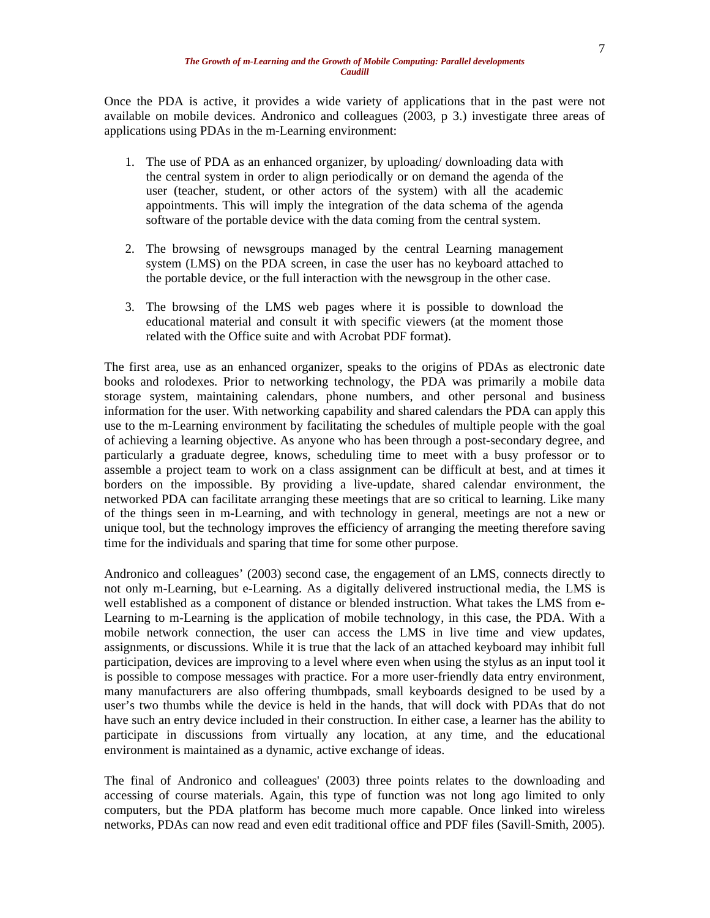Once the PDA is active, it provides a wide variety of applications that in the past were not available on mobile devices. Andronico and colleagues  $(2003, p 3)$  investigate three areas of applications using PDAs in the m-Learning environment:

- 1. The use of PDA as an enhanced organizer, by uploading/ downloading data with the central system in order to align periodically or on demand the agenda of the user (teacher, student, or other actors of the system) with all the academic appointments. This will imply the integration of the data schema of the agenda software of the portable device with the data coming from the central system.
- 2. The browsing of newsgroups managed by the central Learning management system (LMS) on the PDA screen, in case the user has no keyboard attached to the portable device, or the full interaction with the newsgroup in the other case.
- 3. The browsing of the LMS web pages where it is possible to download the educational material and consult it with specific viewers (at the moment those related with the Office suite and with Acrobat PDF format).

The first area, use as an enhanced organizer, speaks to the origins of PDAs as electronic date books and rolodexes. Prior to networking technology, the PDA was primarily a mobile data storage system, maintaining calendars, phone numbers, and other personal and business information for the user. With networking capability and shared calendars the PDA can apply this use to the m-Learning environment by facilitating the schedules of multiple people with the goal of achieving a learning objective. As anyone who has been through a post-secondary degree, and particularly a graduate degree, knows, scheduling time to meet with a busy professor or to assemble a project team to work on a class assignment can be difficult at best, and at times it borders on the impossible. By providing a live-update, shared calendar environment, the networked PDA can facilitate arranging these meetings that are so critical to learning. Like many of the things seen in m-Learning, and with technology in general, meetings are not a new or unique tool, but the technology improves the efficiency of arranging the meeting therefore saving time for the individuals and sparing that time for some other purpose.

Andronico and colleagues' (2003) second case, the engagement of an LMS, connects directly to not only m-Learning, but e-Learning. As a digitally delivered instructional media, the LMS is well established as a component of distance or blended instruction. What takes the LMS from e-Learning to m-Learning is the application of mobile technology, in this case, the PDA. With a mobile network connection, the user can access the LMS in live time and view updates, assignments, or discussions. While it is true that the lack of an attached keyboard may inhibit full participation, devices are improving to a level where even when using the stylus as an input tool it is possible to compose messages with practice. For a more user-friendly data entry environment, many manufacturers are also offering thumbpads, small keyboards designed to be used by a user's two thumbs while the device is held in the hands, that will dock with PDAs that do not have such an entry device included in their construction. In either case, a learner has the ability to participate in discussions from virtually any location, at any time, and the educational environment is maintained as a dynamic, active exchange of ideas.

The final of Andronico and colleagues' (2003) three points relates to the downloading and accessing of course materials. Again, this type of function was not long ago limited to only computers, but the PDA platform has become much more capable. Once linked into wireless networks, PDAs can now read and even edit traditional office and PDF files (Savill-Smith, 2005).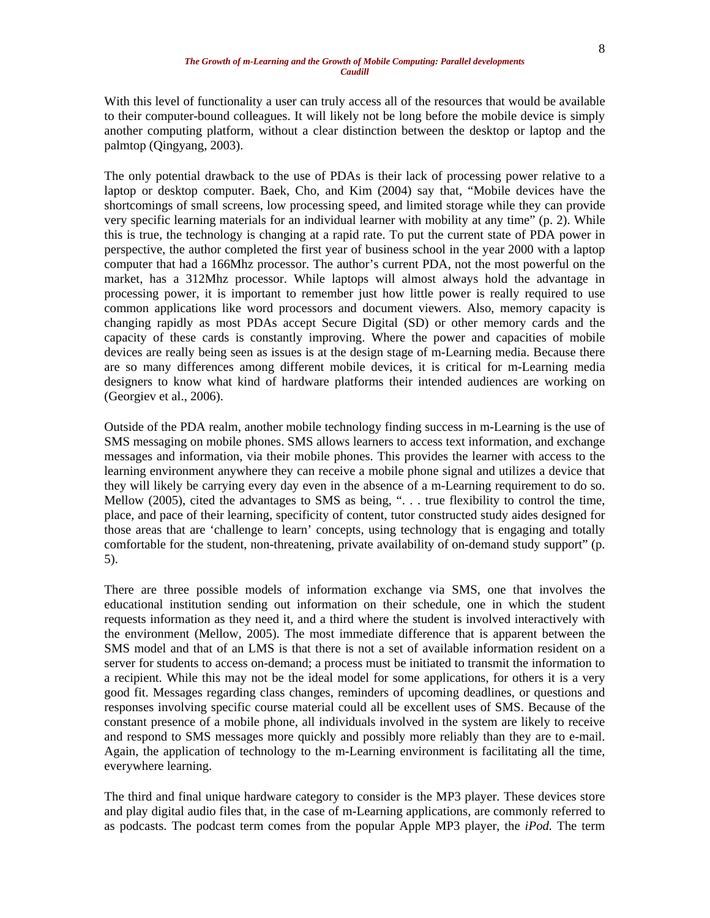With this level of functionality a user can truly access all of the resources that would be available to their computer-bound colleagues. It will likely not be long before the mobile device is simply another computing platform, without a clear distinction between the desktop or laptop and the palmtop (Qingyang, 2003).

The only potential drawback to the use of PDAs is their lack of processing power relative to a laptop or desktop computer. Baek, Cho, and Kim (2004) say that, "Mobile devices have the shortcomings of small screens, low processing speed, and limited storage while they can provide very specific learning materials for an individual learner with mobility at any time" (p. 2). While this is true, the technology is changing at a rapid rate. To put the current state of PDA power in perspective, the author completed the first year of business school in the year 2000 with a laptop computer that had a 166Mhz processor. The author's current PDA, not the most powerful on the market, has a 312Mhz processor. While laptops will almost always hold the advantage in processing power, it is important to remember just how little power is really required to use common applications like word processors and document viewers. Also, memory capacity is changing rapidly as most PDAs accept Secure Digital (SD) or other memory cards and the capacity of these cards is constantly improving. Where the power and capacities of mobile devices are really being seen as issues is at the design stage of m-Learning media. Because there are so many differences among different mobile devices, it is critical for m-Learning media designers to know what kind of hardware platforms their intended audiences are working on (Georgiev et al., 2006).

Outside of the PDA realm, another mobile technology finding success in m-Learning is the use of SMS messaging on mobile phones. SMS allows learners to access text information, and exchange messages and information, via their mobile phones. This provides the learner with access to the learning environment anywhere they can receive a mobile phone signal and utilizes a device that they will likely be carrying every day even in the absence of a m-Learning requirement to do so. Mellow (2005), cited the advantages to SMS as being, ". . . true flexibility to control the time, place, and pace of their learning, specificity of content, tutor constructed study aides designed for those areas that are 'challenge to learn' concepts, using technology that is engaging and totally comfortable for the student, non-threatening, private availability of on-demand study support" (p. 5).

There are three possible models of information exchange via SMS, one that involves the educational institution sending out information on their schedule, one in which the student requests information as they need it, and a third where the student is involved interactively with the environment (Mellow, 2005). The most immediate difference that is apparent between the SMS model and that of an LMS is that there is not a set of available information resident on a server for students to access on-demand; a process must be initiated to transmit the information to a recipient. While this may not be the ideal model for some applications, for others it is a very good fit. Messages regarding class changes, reminders of upcoming deadlines, or questions and responses involving specific course material could all be excellent uses of SMS. Because of the constant presence of a mobile phone, all individuals involved in the system are likely to receive and respond to SMS messages more quickly and possibly more reliably than they are to e-mail. Again, the application of technology to the m-Learning environment is facilitating all the time, everywhere learning.

The third and final unique hardware category to consider is the MP3 player. These devices store and play digital audio files that, in the case of m-Learning applications, are commonly referred to as podcasts. The podcast term comes from the popular Apple MP3 player, the *iPod.* The term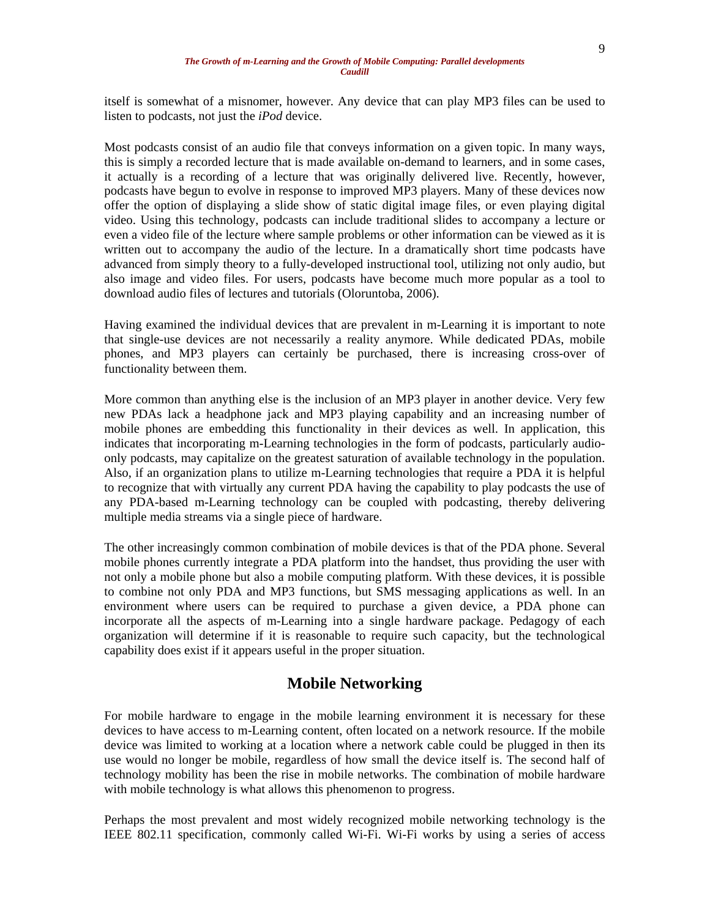itself is somewhat of a misnomer, however. Any device that can play MP3 files can be used to listen to podcasts, not just the *iPod* device.

Most podcasts consist of an audio file that conveys information on a given topic. In many ways, this is simply a recorded lecture that is made available on-demand to learners, and in some cases, it actually is a recording of a lecture that was originally delivered live. Recently, however, podcasts have begun to evolve in response to improved MP3 players. Many of these devices now offer the option of displaying a slide show of static digital image files, or even playing digital video. Using this technology, podcasts can include traditional slides to accompany a lecture or even a video file of the lecture where sample problems or other information can be viewed as it is written out to accompany the audio of the lecture. In a dramatically short time podcasts have advanced from simply theory to a fully-developed instructional tool, utilizing not only audio, but also image and video files. For users, podcasts have become much more popular as a tool to download audio files of lectures and tutorials (Oloruntoba, 2006).

Having examined the individual devices that are prevalent in m-Learning it is important to note that single-use devices are not necessarily a reality anymore. While dedicated PDAs, mobile phones, and MP3 players can certainly be purchased, there is increasing cross-over of functionality between them.

More common than anything else is the inclusion of an MP3 player in another device. Very few new PDAs lack a headphone jack and MP3 playing capability and an increasing number of mobile phones are embedding this functionality in their devices as well. In application, this indicates that incorporating m-Learning technologies in the form of podcasts, particularly audioonly podcasts, may capitalize on the greatest saturation of available technology in the population. Also, if an organization plans to utilize m-Learning technologies that require a PDA it is helpful to recognize that with virtually any current PDA having the capability to play podcasts the use of any PDA-based m-Learning technology can be coupled with podcasting, thereby delivering multiple media streams via a single piece of hardware.

The other increasingly common combination of mobile devices is that of the PDA phone. Several mobile phones currently integrate a PDA platform into the handset, thus providing the user with not only a mobile phone but also a mobile computing platform. With these devices, it is possible to combine not only PDA and MP3 functions, but SMS messaging applications as well. In an environment where users can be required to purchase a given device, a PDA phone can incorporate all the aspects of m-Learning into a single hardware package. Pedagogy of each organization will determine if it is reasonable to require such capacity, but the technological capability does exist if it appears useful in the proper situation.

### **Mobile Networking**

For mobile hardware to engage in the mobile learning environment it is necessary for these devices to have access to m-Learning content, often located on a network resource. If the mobile device was limited to working at a location where a network cable could be plugged in then its use would no longer be mobile, regardless of how small the device itself is. The second half of technology mobility has been the rise in mobile networks. The combination of mobile hardware with mobile technology is what allows this phenomenon to progress.

Perhaps the most prevalent and most widely recognized mobile networking technology is the IEEE 802.11 specification, commonly called Wi-Fi. Wi-Fi works by using a series of access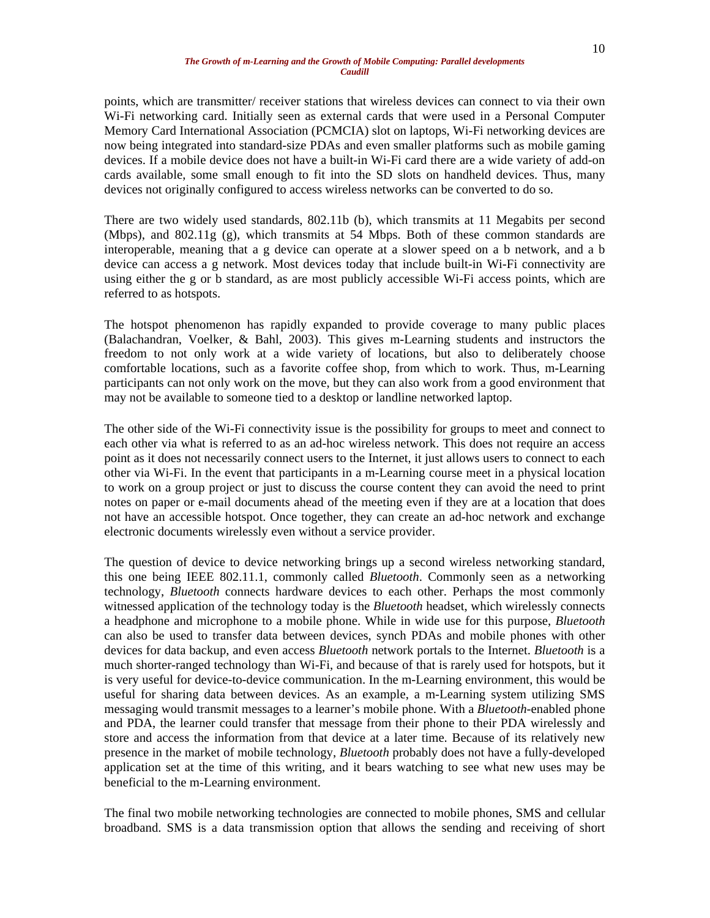points, which are transmitter/ receiver stations that wireless devices can connect to via their own Wi-Fi networking card. Initially seen as external cards that were used in a Personal Computer Memory Card International Association (PCMCIA) slot on laptops, Wi-Fi networking devices are now being integrated into standard-size PDAs and even smaller platforms such as mobile gaming devices. If a mobile device does not have a built-in Wi-Fi card there are a wide variety of add-on cards available, some small enough to fit into the SD slots on handheld devices. Thus, many devices not originally configured to access wireless networks can be converted to do so.

There are two widely used standards, 802.11b (b), which transmits at 11 Megabits per second (Mbps), and 802.11g (g), which transmits at 54 Mbps. Both of these common standards are interoperable, meaning that a g device can operate at a slower speed on a b network, and a b device can access a g network. Most devices today that include built-in Wi-Fi connectivity are using either the g or b standard, as are most publicly accessible Wi-Fi access points, which are referred to as hotspots.

The hotspot phenomenon has rapidly expanded to provide coverage to many public places (Balachandran, Voelker, & Bahl, 2003). This gives m-Learning students and instructors the freedom to not only work at a wide variety of locations, but also to deliberately choose comfortable locations, such as a favorite coffee shop, from which to work. Thus, m-Learning participants can not only work on the move, but they can also work from a good environment that may not be available to someone tied to a desktop or landline networked laptop.

The other side of the Wi-Fi connectivity issue is the possibility for groups to meet and connect to each other via what is referred to as an ad-hoc wireless network. This does not require an access point as it does not necessarily connect users to the Internet, it just allows users to connect to each other via Wi-Fi. In the event that participants in a m-Learning course meet in a physical location to work on a group project or just to discuss the course content they can avoid the need to print notes on paper or e-mail documents ahead of the meeting even if they are at a location that does not have an accessible hotspot. Once together, they can create an ad-hoc network and exchange electronic documents wirelessly even without a service provider.

The question of device to device networking brings up a second wireless networking standard, this one being IEEE 802.11.1, commonly called *Bluetooth*. Commonly seen as a networking technology, *Bluetooth* connects hardware devices to each other. Perhaps the most commonly witnessed application of the technology today is the *Bluetooth* headset, which wirelessly connects a headphone and microphone to a mobile phone. While in wide use for this purpose, *Bluetooth* can also be used to transfer data between devices, synch PDAs and mobile phones with other devices for data backup, and even access *Bluetooth* network portals to the Internet. *Bluetooth* is a much shorter-ranged technology than Wi-Fi, and because of that is rarely used for hotspots, but it is very useful for device-to-device communication. In the m-Learning environment, this would be useful for sharing data between devices. As an example, a m-Learning system utilizing SMS messaging would transmit messages to a learner's mobile phone. With a *Bluetooth*-enabled phone and PDA, the learner could transfer that message from their phone to their PDA wirelessly and store and access the information from that device at a later time. Because of its relatively new presence in the market of mobile technology, *Bluetooth* probably does not have a fully-developed application set at the time of this writing, and it bears watching to see what new uses may be beneficial to the m-Learning environment.

The final two mobile networking technologies are connected to mobile phones, SMS and cellular broadband. SMS is a data transmission option that allows the sending and receiving of short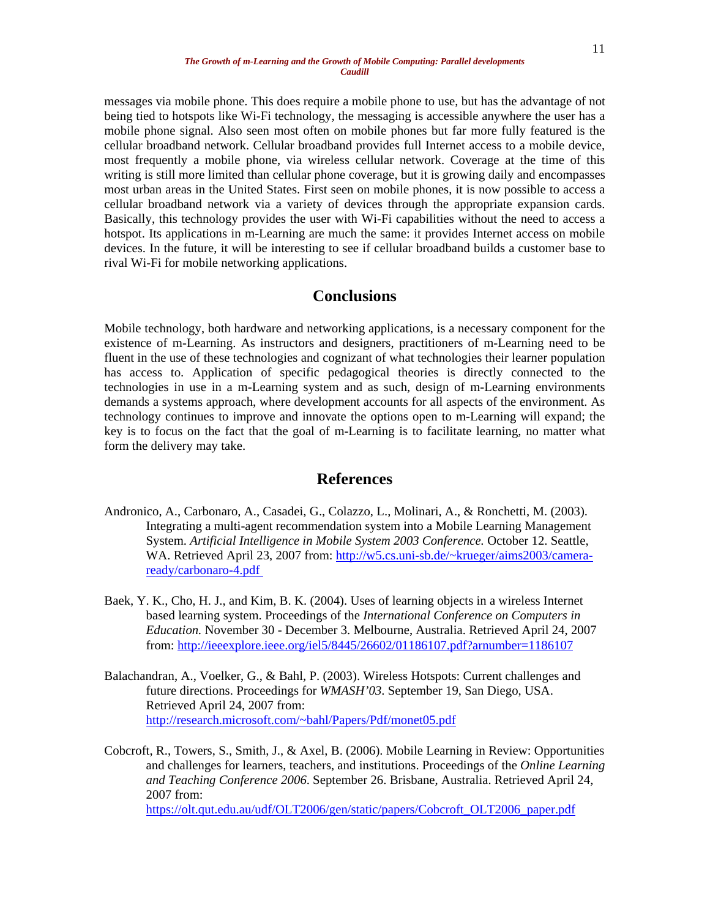messages via mobile phone. This does require a mobile phone to use, but has the advantage of not being tied to hotspots like Wi-Fi technology, the messaging is accessible anywhere the user has a mobile phone signal. Also seen most often on mobile phones but far more fully featured is the cellular broadband network. Cellular broadband provides full Internet access to a mobile device, most frequently a mobile phone, via wireless cellular network. Coverage at the time of this writing is still more limited than cellular phone coverage, but it is growing daily and encompasses most urban areas in the United States. First seen on mobile phones, it is now possible to access a cellular broadband network via a variety of devices through the appropriate expansion cards. Basically, this technology provides the user with Wi-Fi capabilities without the need to access a hotspot. Its applications in m-Learning are much the same: it provides Internet access on mobile devices. In the future, it will be interesting to see if cellular broadband builds a customer base to rival Wi-Fi for mobile networking applications.

### **Conclusions**

Mobile technology, both hardware and networking applications, is a necessary component for the existence of m-Learning. As instructors and designers, practitioners of m-Learning need to be fluent in the use of these technologies and cognizant of what technologies their learner population has access to. Application of specific pedagogical theories is directly connected to the technologies in use in a m-Learning system and as such, design of m-Learning environments demands a systems approach, where development accounts for all aspects of the environment. As technology continues to improve and innovate the options open to m-Learning will expand; the key is to focus on the fact that the goal of m-Learning is to facilitate learning, no matter what form the delivery may take.

### **References**

- Andronico, A., Carbonaro, A., Casadei, G., Colazzo, L., Molinari, A., & Ronchetti, M. (2003). Integrating a multi-agent recommendation system into a Mobile Learning Management System. *Artificial Intelligence in Mobile System 2003 Conference.* October 12. Seattle, WA. Retrieved April 23, 2007 from: [http://w5.cs.uni-sb.de/~krueger/aims2003/camera](http://w5.cs.uni-sb.de/%7Ekrueger/aims2003/camera-ready/carbonaro-4.pdf)[ready/carbonaro-4.pdf](http://w5.cs.uni-sb.de/%7Ekrueger/aims2003/camera-ready/carbonaro-4.pdf)
- Baek, Y. K., Cho, H. J., and Kim, B. K. (2004). Uses of learning objects in a wireless Internet based learning system. Proceedings of the *International Conference on Computers in Education.* November 30 - December 3. Melbourne, Australia. Retrieved April 24, 2007 from:<http://ieeexplore.ieee.org/iel5/8445/26602/01186107.pdf?arnumber=1186107>
- Balachandran, A., Voelker, G., & Bahl, P. (2003). Wireless Hotspots: Current challenges and future directions. Proceedings for *WMASH'03*. September 19, San Diego, USA. Retrieved April 24, 2007 from: [http://research.microsoft.com/~bahl/Papers/Pdf/monet05.pdf](http://research.microsoft.com/%7Ebahl/Papers/Pdf/monet05.pdf)
- Cobcroft, R., Towers, S., Smith, J., & Axel, B. (2006). Mobile Learning in Review: Opportunities and challenges for learners, teachers, and institutions. Proceedings of the *Online Learning and Teaching Conference 2006*. September 26. Brisbane, Australia. Retrieved April 24, 2007 from: [https://olt.qut.edu.au/udf/OLT2006/gen/static/papers/Cobcroft\\_OLT2006\\_paper.pdf](https://olt.qut.edu.au/udf/OLT2006/gen/static/papers/Cobcroft_OLT2006_paper.pdf)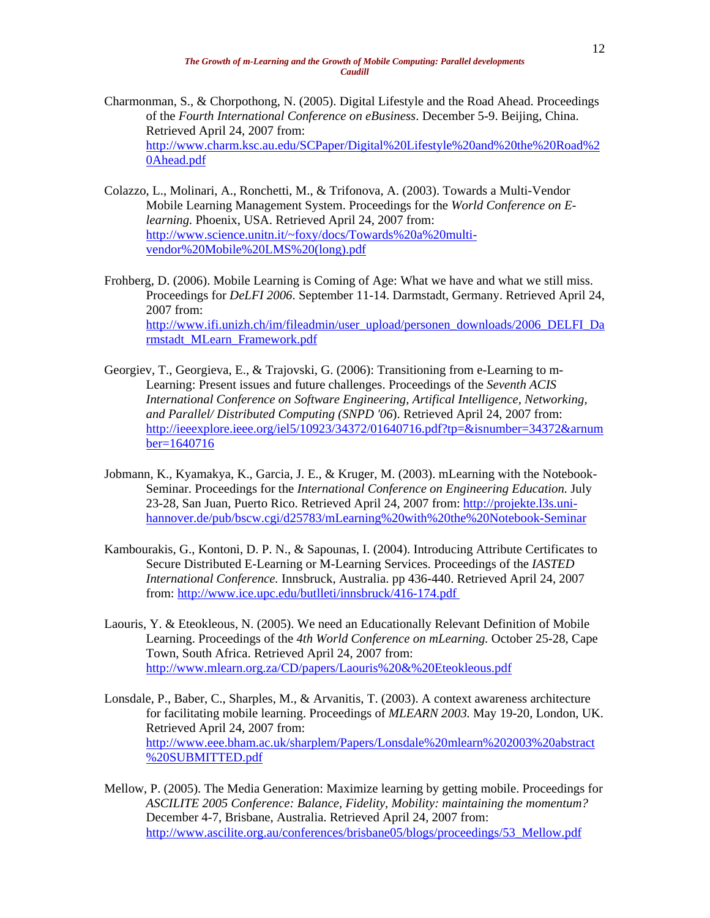- Charmonman, S., & Chorpothong, N. (2005). Digital Lifestyle and the Road Ahead. Proceedings of the *Fourth International Conference on eBusiness*. December 5-9. Beijing, China. Retrieved April 24, 2007 from: [http://www.charm.ksc.au.edu/SCPaper/Digital%20Lifestyle%20and%20the%20Road%2](http://www.charm.ksc.au.edu/SCPaper/Digital%20Lifestyle%20and%20the%20Road%20Ahead.pdf) [0Ahead.pdf](http://www.charm.ksc.au.edu/SCPaper/Digital%20Lifestyle%20and%20the%20Road%20Ahead.pdf)
- Colazzo, L., Molinari, A., Ronchetti, M., & Trifonova, A. (2003). Towards a Multi-Vendor Mobile Learning Management System. Proceedings for the *World Conference on Elearning.* Phoenix, USA. Retrieved April 24, 2007 from: [http://www.science.unitn.it/~foxy/docs/Towards%20a%20multi](http://www.science.unitn.it/%7Efoxy/docs/Towards%20a%20multi-vendor%20Mobile%20LMS%20%28long%29.pdf)[vendor%20Mobile%20LMS%20\(long\).pdf](http://www.science.unitn.it/%7Efoxy/docs/Towards%20a%20multi-vendor%20Mobile%20LMS%20%28long%29.pdf)
- Frohberg, D. (2006). Mobile Learning is Coming of Age: What we have and what we still miss. Proceedings for *DeLFI 2006*. September 11-14. Darmstadt, Germany. Retrieved April 24, 2007 from: [http://www.ifi.unizh.ch/im/fileadmin/user\\_upload/personen\\_downloads/2006\\_DELFI\\_Da](http://www.ifi.unizh.ch/im/fileadmin/user_upload/personen_downloads/2006_DELFI_Darmstadt_MLearn_Framework.pdf) [rmstadt\\_MLearn\\_Framework.pdf](http://www.ifi.unizh.ch/im/fileadmin/user_upload/personen_downloads/2006_DELFI_Darmstadt_MLearn_Framework.pdf)
- Georgiev, T., Georgieva, E., & Trajovski, G. (2006): Transitioning from e-Learning to m-Learning: Present issues and future challenges. Proceedings of the *Seventh ACIS International Conference on Software Engineering, Artifical Intelligence, Networking, and Parallel/ Distributed Computing (SNPD '06*). Retrieved April 24, 2007 from: [http://ieeexplore.ieee.org/iel5/10923/34372/01640716.pdf?tp=&isnumber=34372&arnum](http://ieeexplore.ieee.org/iel5/10923/34372/01640716.pdf?tp=&isnumber=34372&arnumber=1640716) [ber=1640716](http://ieeexplore.ieee.org/iel5/10923/34372/01640716.pdf?tp=&isnumber=34372&arnumber=1640716)
- Jobmann, K., Kyamakya, K., Garcia, J. E., & Kruger, M. (2003). mLearning with the Notebook-Seminar. Proceedings for the *International Conference on Engineering Education.* July 23-28, San Juan, Puerto Rico. Retrieved April 24, 2007 from: [http://projekte.l3s.uni](http://projekte.l3s.uni-hannover.de/pub/bscw.cgi/d25783/mLearning%20with%20the%20Notebook-Seminar)[hannover.de/pub/bscw.cgi/d25783/mLearning%20with%20the%20Notebook-Seminar](http://projekte.l3s.uni-hannover.de/pub/bscw.cgi/d25783/mLearning%20with%20the%20Notebook-Seminar)
- Kambourakis, G., Kontoni, D. P. N., & Sapounas, I. (2004). Introducing Attribute Certificates to Secure Distributed E-Learning or M-Learning Services. Proceedings of the *IASTED International Conference.* Innsbruck, Australia. pp 436-440. Retrieved April 24, 2007 from:<http://www.ice.upc.edu/butlleti/innsbruck/416-174.pdf>
- Laouris, Y. & Eteokleous, N. (2005). We need an Educationally Relevant Definition of Mobile Learning. Proceedings of the *4th World Conference on mLearning.* October 25-28, Cape Town, South Africa. Retrieved April 24, 2007 from: <http://www.mlearn.org.za/CD/papers/Laouris%20&%20Eteokleous.pdf>
- Lonsdale, P., Baber, C., Sharples, M., & Arvanitis, T. (2003). A context awareness architecture for facilitating mobile learning. Proceedings of *MLEARN 2003.* May 19-20, London, UK. Retrieved April 24, 2007 from: [http://www.eee.bham.ac.uk/sharplem/Papers/Lonsdale%20mlearn%202003%20abstract](http://www.eee.bham.ac.uk/sharplem/Papers/Lonsdale%20mlearn%202003%20abstract%20SUBMITTED.pdf) [%20SUBMITTED.pdf](http://www.eee.bham.ac.uk/sharplem/Papers/Lonsdale%20mlearn%202003%20abstract%20SUBMITTED.pdf)
- Mellow, P. (2005). The Media Generation: Maximize learning by getting mobile. Proceedings for *ASCILITE 2005 Conference: Balance, Fidelity, Mobility: maintaining the momentum?*  December 4-7, Brisbane, Australia. Retrieved April 24, 2007 from: [http://www.ascilite.org.au/conferences/brisbane05/blogs/proceedings/53\\_Mellow.pdf](http://www.ascilite.org.au/conferences/brisbane05/blogs/proceedings/53_Mellow.pdf)